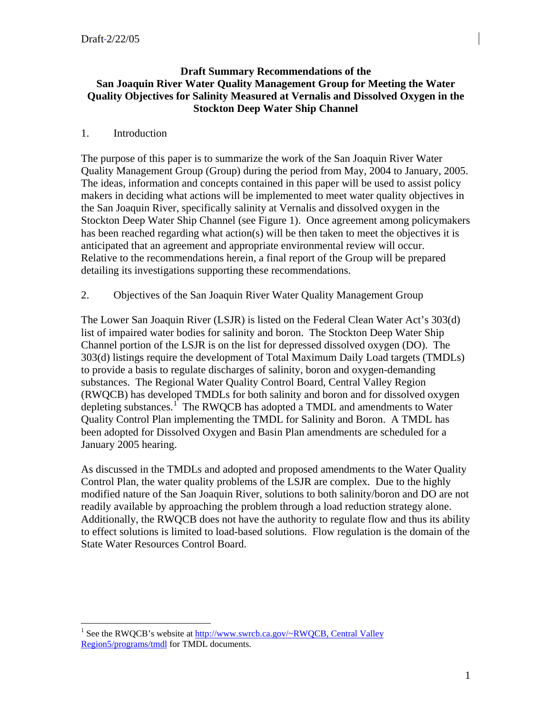## **Draft Summary Recommendations of the San Joaquin River Water Quality Management Group for Meeting the Water Quality Objectives for Salinity Measured at Vernalis and Dissolved Oxygen in the Stockton Deep Water Ship Channel**

#### 1. Introduction

 $\overline{a}$ 

The purpose of this paper is to summarize the work of the San Joaquin River Water Quality Management Group (Group) during the period from May, 2004 to January, 2005. The ideas, information and concepts contained in this paper will be used to assist policy makers in deciding what actions will be implemented to meet water quality objectives in the San Joaquin River, specifically salinity at Vernalis and dissolved oxygen in the Stockton Deep Water Ship Channel (see Figure 1). Once agreement among policymakers has been reached regarding what action(s) will be then taken to meet the objectives it is anticipated that an agreement and appropriate environmental review will occur. Relative to the recommendations herein, a final report of the Group will be prepared detailing its investigations supporting these recommendations.

2. Objectives of the San Joaquin River Water Quality Management Group

The Lower San Joaquin River (LSJR) is listed on the Federal Clean Water Act's 303(d) list of impaired water bodies for salinity and boron. The Stockton Deep Water Ship Channel portion of the LSJR is on the list for depressed dissolved oxygen (DO). The 303(d) listings require the development of Total Maximum Daily Load targets (TMDLs) to provide a basis to regulate discharges of salinity, boron and oxygen-demanding substances. The Regional Water Quality Control Board, Central Valley Region (RWQCB) has developed TMDLs for both salinity and boron and for dissolved oxygen depleting substances.<sup>[1](#page-0-0)</sup> The RWQCB has adopted a TMDL and amendments to Water Quality Control Plan implementing the TMDL for Salinity and Boron. A TMDL has been adopted for Dissolved Oxygen and Basin Plan amendments are scheduled for a January 2005 hearing.

As discussed in the TMDLs and adopted and proposed amendments to the Water Quality Control Plan, the water quality problems of the LSJR are complex. Due to the highly modified nature of the San Joaquin River, solutions to both salinity/boron and DO are not readily available by approaching the problem through a load reduction strategy alone. Additionally, the RWQCB does not have the authority to regulate flow and thus its ability to effect solutions is limited to load-based solutions. Flow regulation is the domain of the State Water Resources Control Board.

<span id="page-0-0"></span><sup>&</sup>lt;sup>1</sup> See the RWQCB's website at  $\frac{http://www.swrcb.ca.gov/~RWQCB, Central Valley}{}$ Region5/programs/tmdl for TMDL documents.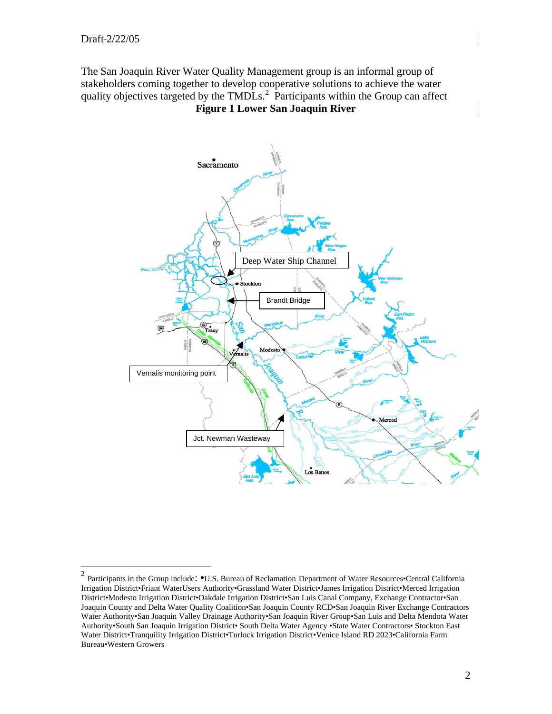1

The San Joaquin River Water Quality Management group is an informal group of stakeholders coming together to develop cooperative solutions to achieve the water quality objectives targeted by the TMDLs.<sup>[2](#page-1-0)</sup> Participants within the Group can affect **Figure 1 Lower San Joaquin River** 



<span id="page-1-0"></span><sup>&</sup>lt;sup>2</sup> Participants in the Group include:  $\bullet$ U.S. Bureau of Reclamation Department of Water Resources $\bullet$ Central California Irrigation District•Friant WaterUsers Authority•Grassland Water District•James Irrigation District•Merced Irrigation District•Modesto Irrigation District•Oakdale Irrigation District•San Luis Canal Company, Exchange Contractor•San Joaquin County and Delta Water Quality Coalition•San Joaquin County RCD•San Joaquin River Exchange Contractors Water Authority•San Joaquin Valley Drainage Authority•San Joaquin River Group•San Luis and Delta Mendota Water Authority•South San Joaquin Irrigation District• South Delta Water Agency •State Water Contractors• Stockton East Water District•Tranquility Irrigation District•Turlock Irrigation District•Venice Island RD 2023•California Farm Bureau•Western Growers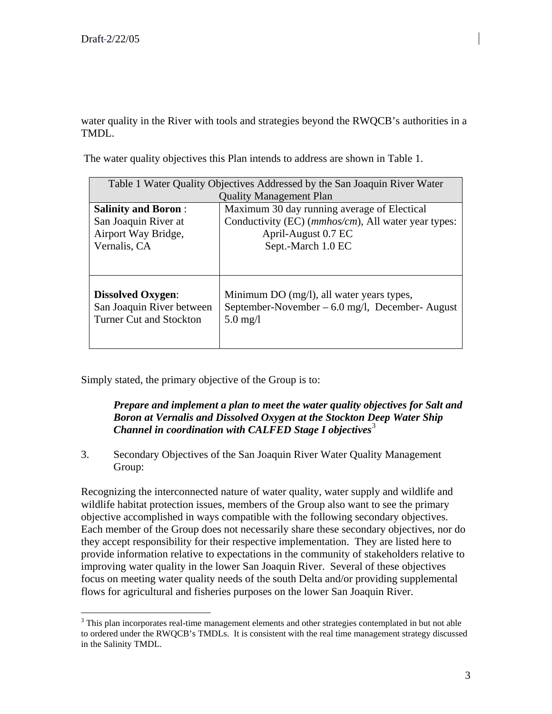1

water quality in the River with tools and strategies beyond the RWQCB's authorities in a TMDL.

The water quality objectives this Plan intends to address are shown in Table 1.

| Table 1 Water Quality Objectives Addressed by the San Joaquin River Water               |                                                                                                            |  |  |
|-----------------------------------------------------------------------------------------|------------------------------------------------------------------------------------------------------------|--|--|
| <b>Quality Management Plan</b>                                                          |                                                                                                            |  |  |
| <b>Salinity and Boron:</b>                                                              | Maximum 30 day running average of Electical                                                                |  |  |
| San Joaquin River at                                                                    | Conductivity (EC) ( <i>mmhos/cm</i> ), All water year types:                                               |  |  |
| Airport Way Bridge,                                                                     | April-August 0.7 EC                                                                                        |  |  |
| Vernalis, CA                                                                            | Sept.-March 1.0 EC                                                                                         |  |  |
|                                                                                         |                                                                                                            |  |  |
|                                                                                         |                                                                                                            |  |  |
| <b>Dissolved Oxygen:</b><br>San Joaquin River between<br><b>Turner Cut and Stockton</b> | Minimum DO (mg/l), all water years types,<br>September-November $-6.0$ mg/l, December-August<br>$5.0$ mg/l |  |  |

Simply stated, the primary objective of the Group is to:

## *Prepare and implement a plan to meet the water quality objectives for Salt and Boron at Vernalis and Dissolved Oxygen at the Stockton Deep Water Ship Channel in coordination with CALFED Stage I objectives*<sup>[3](#page-2-0)</sup>

3. Secondary Objectives of the San Joaquin River Water Quality Management Group:

Recognizing the interconnected nature of water quality, water supply and wildlife and wildlife habitat protection issues, members of the Group also want to see the primary objective accomplished in ways compatible with the following secondary objectives. Each member of the Group does not necessarily share these secondary objectives, nor do they accept responsibility for their respective implementation. They are listed here to provide information relative to expectations in the community of stakeholders relative to improving water quality in the lower San Joaquin River. Several of these objectives focus on meeting water quality needs of the south Delta and/or providing supplemental flows for agricultural and fisheries purposes on the lower San Joaquin River.

<span id="page-2-0"></span> $3$  This plan incorporates real-time management elements and other strategies contemplated in but not able to ordered under the RWQCB's TMDLs. It is consistent with the real time management strategy discussed in the Salinity TMDL.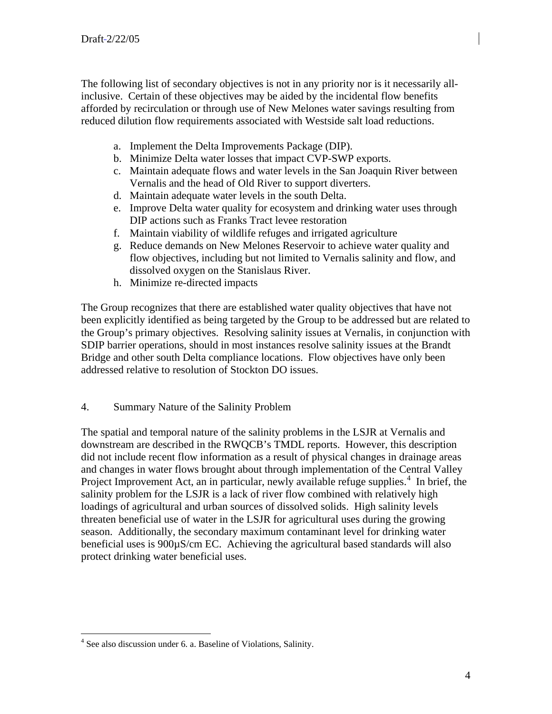The following list of secondary objectives is not in any priority nor is it necessarily allinclusive. Certain of these objectives may be aided by the incidental flow benefits afforded by recirculation or through use of New Melones water savings resulting from reduced dilution flow requirements associated with Westside salt load reductions.

- a. Implement the Delta Improvements Package (DIP).
- b. Minimize Delta water losses that impact CVP-SWP exports.
- c. Maintain adequate flows and water levels in the San Joaquin River between Vernalis and the head of Old River to support diverters.
- d. Maintain adequate water levels in the south Delta.
- e. Improve Delta water quality for ecosystem and drinking water uses through DIP actions such as Franks Tract levee restoration
- f. Maintain viability of wildlife refuges and irrigated agriculture
- g. Reduce demands on New Melones Reservoir to achieve water quality and flow objectives, including but not limited to Vernalis salinity and flow, and dissolved oxygen on the Stanislaus River.
- h. Minimize re-directed impacts

The Group recognizes that there are established water quality objectives that have not been explicitly identified as being targeted by the Group to be addressed but are related to the Group's primary objectives. Resolving salinity issues at Vernalis, in conjunction with SDIP barrier operations, should in most instances resolve salinity issues at the Brandt Bridge and other south Delta compliance locations. Flow objectives have only been addressed relative to resolution of Stockton DO issues.

4. Summary Nature of the Salinity Problem

The spatial and temporal nature of the salinity problems in the LSJR at Vernalis and downstream are described in the RWQCB's TMDL reports. However, this description did not include recent flow information as a result of physical changes in drainage areas and changes in water flows brought about through implementation of the Central Valley Project Improvement Act, an in particular, newly available refuge supplies. $4$  In brief, the salinity problem for the LSJR is a lack of river flow combined with relatively high loadings of agricultural and urban sources of dissolved solids. High salinity levels threaten beneficial use of water in the LSJR for agricultural uses during the growing season. Additionally, the secondary maximum contaminant level for drinking water beneficial uses is 900µS/cm EC. Achieving the agricultural based standards will also protect drinking water beneficial uses.

 $\overline{a}$ 

<span id="page-3-0"></span><sup>&</sup>lt;sup>4</sup> See also discussion under 6. a. Baseline of Violations, Salinity.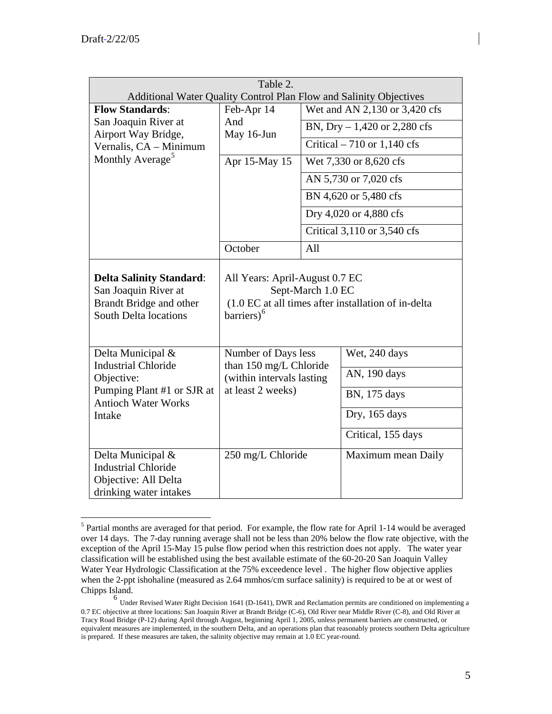$\overline{a}$ 

| Table 2.                                                                                                           |                                                                                                                                      |                                                                                                     |                    |  |
|--------------------------------------------------------------------------------------------------------------------|--------------------------------------------------------------------------------------------------------------------------------------|-----------------------------------------------------------------------------------------------------|--------------------|--|
| <b>Flow Standards:</b>                                                                                             | Feb-Apr 14                                                                                                                           | Additional Water Quality Control Plan Flow and Salinity Objectives<br>Wet and AN 2,130 or 3,420 cfs |                    |  |
| San Joaquin River at                                                                                               | And                                                                                                                                  |                                                                                                     |                    |  |
| Airport Way Bridge,                                                                                                | May 16-Jun                                                                                                                           | BN, Dry $-1,420$ or 2,280 cfs                                                                       |                    |  |
| Vernalis, CA - Minimum                                                                                             |                                                                                                                                      | Critical $-710$ or 1,140 cfs                                                                        |                    |  |
| Monthly Average <sup>5</sup>                                                                                       | Apr 15-May 15                                                                                                                        | Wet 7,330 or 8,620 cfs                                                                              |                    |  |
|                                                                                                                    |                                                                                                                                      | AN 5,730 or 7,020 cfs                                                                               |                    |  |
|                                                                                                                    |                                                                                                                                      | BN 4,620 or 5,480 cfs                                                                               |                    |  |
|                                                                                                                    |                                                                                                                                      | Dry 4,020 or 4,880 cfs                                                                              |                    |  |
|                                                                                                                    |                                                                                                                                      | Critical 3,110 or 3,540 cfs                                                                         |                    |  |
|                                                                                                                    | October                                                                                                                              | All                                                                                                 |                    |  |
| <b>Delta Salinity Standard:</b><br>San Joaquin River at<br>Brandt Bridge and other<br><b>South Delta locations</b> | All Years: April-August 0.7 EC<br>Sept-March 1.0 EC<br>(1.0 EC at all times after installation of in-delta<br>barriers) <sup>6</sup> |                                                                                                     |                    |  |
| Delta Municipal &                                                                                                  | Number of Days less<br>than 150 mg/L Chloride<br>(within intervals lasting)<br>at least 2 weeks)                                     |                                                                                                     | Wet, 240 days      |  |
| <b>Industrial Chloride</b><br>Objective:                                                                           |                                                                                                                                      |                                                                                                     | AN, 190 days       |  |
| Pumping Plant #1 or SJR at<br><b>Antioch Water Works</b>                                                           |                                                                                                                                      |                                                                                                     | BN, 175 days       |  |
| Intake                                                                                                             |                                                                                                                                      |                                                                                                     | Dry, 165 days      |  |
|                                                                                                                    |                                                                                                                                      |                                                                                                     | Critical, 155 days |  |
| Delta Municipal &<br><b>Industrial Chloride</b><br>Objective: All Delta<br>drinking water intakes                  | 250 mg/L Chloride                                                                                                                    |                                                                                                     | Maximum mean Daily |  |

<span id="page-4-0"></span><sup>&</sup>lt;sup>5</sup> Partial months are averaged for that period. For example, the flow rate for April 1-14 would be averaged over 14 days. The 7-day running average shall not be less than 20% below the flow rate objective, with the exception of the April 15-May 15 pulse flow period when this restriction does not apply. The water year classification will be established using the best available estimate of the 60-20-20 San Joaquin Valley Water Year Hydrologic Classification at the 75% exceedence level. The higher flow objective applies when the 2-ppt ishohaline (measured as 2.64 mmhos/cm surface salinity) is required to be at or west of Chipps Island.

<span id="page-4-1"></span><sup>6</sup> Under Revised Water Right Decision 1641 (D-1641), DWR and Reclamation permits are conditioned on implementing a 0.7 EC objective at three locations: San Joaquin River at Brandt Bridge (C-6), Old River near Middle River (C-8), and Old River at Tracy Road Bridge (P-12) during April through August, beginning April 1, 2005, unless permanent barriers are constructed, or equivalent measures are implemented, in the southern Delta, and an operations plan that reasonably protects southern Delta agriculture is prepared. If these measures are taken, the salinity objective may remain at 1.0 EC year-round.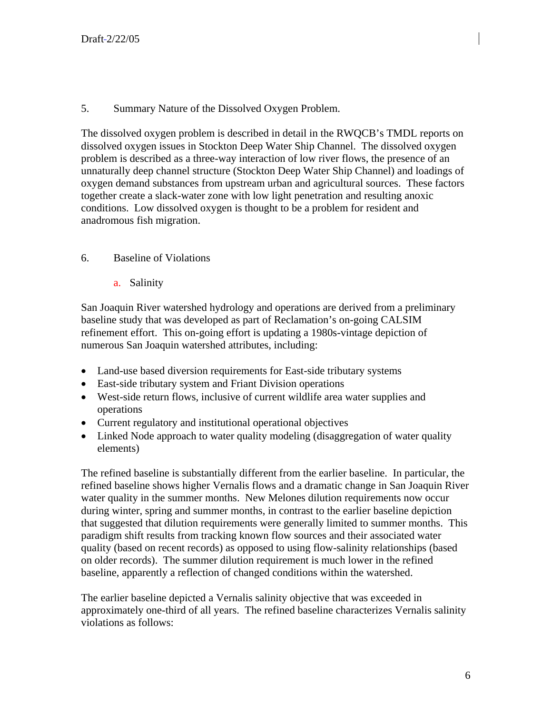### 5. Summary Nature of the Dissolved Oxygen Problem.

The dissolved oxygen problem is described in detail in the RWQCB's TMDL reports on dissolved oxygen issues in Stockton Deep Water Ship Channel. The dissolved oxygen problem is described as a three-way interaction of low river flows, the presence of an unnaturally deep channel structure (Stockton Deep Water Ship Channel) and loadings of oxygen demand substances from upstream urban and agricultural sources. These factors together create a slack-water zone with low light penetration and resulting anoxic conditions. Low dissolved oxygen is thought to be a problem for resident and anadromous fish migration.

## 6. Baseline of Violations

a. Salinity

San Joaquin River watershed hydrology and operations are derived from a preliminary baseline study that was developed as part of Reclamation's on-going CALSIM refinement effort. This on-going effort is updating a 1980s-vintage depiction of numerous San Joaquin watershed attributes, including:

- Land-use based diversion requirements for East-side tributary systems
- East-side tributary system and Friant Division operations
- West-side return flows, inclusive of current wildlife area water supplies and operations
- Current regulatory and institutional operational objectives
- Linked Node approach to water quality modeling (disaggregation of water quality elements)

The refined baseline is substantially different from the earlier baseline. In particular, the refined baseline shows higher Vernalis flows and a dramatic change in San Joaquin River water quality in the summer months. New Melones dilution requirements now occur during winter, spring and summer months, in contrast to the earlier baseline depiction that suggested that dilution requirements were generally limited to summer months. This paradigm shift results from tracking known flow sources and their associated water quality (based on recent records) as opposed to using flow-salinity relationships (based on older records). The summer dilution requirement is much lower in the refined baseline, apparently a reflection of changed conditions within the watershed.

The earlier baseline depicted a Vernalis salinity objective that was exceeded in approximately one-third of all years. The refined baseline characterizes Vernalis salinity violations as follows: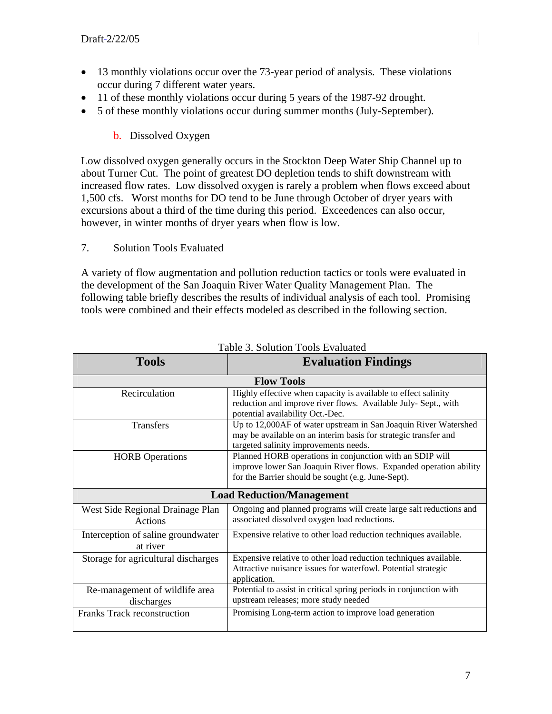- 13 monthly violations occur over the 73-year period of analysis. These violations occur during 7 different water years.
- 11 of these monthly violations occur during 5 years of the 1987-92 drought.
- 5 of these monthly violations occur during summer months (July-September).

## b. Dissolved Oxygen

Low dissolved oxygen generally occurs in the Stockton Deep Water Ship Channel up to about Turner Cut. The point of greatest DO depletion tends to shift downstream with increased flow rates. Low dissolved oxygen is rarely a problem when flows exceed about 1,500 cfs. Worst months for DO tend to be June through October of dryer years with excursions about a third of the time during this period. Exceedences can also occur, however, in winter months of dryer years when flow is low.

7. Solution Tools Evaluated

A variety of flow augmentation and pollution reduction tactics or tools were evaluated in the development of the San Joaquin River Water Quality Management Plan. The following table briefly describes the results of individual analysis of each tool. Promising tools were combined and their effects modeled as described in the following section.

| <b>Tools</b>                                   | <b>Evaluation Findings</b>                                                                                                                                                          |  |  |
|------------------------------------------------|-------------------------------------------------------------------------------------------------------------------------------------------------------------------------------------|--|--|
| <b>Flow Tools</b>                              |                                                                                                                                                                                     |  |  |
| Recirculation                                  | Highly effective when capacity is available to effect salinity<br>reduction and improve river flows. Available July- Sept., with<br>potential availability Oct.-Dec.                |  |  |
| <b>Transfers</b>                               | Up to 12,000AF of water upstream in San Joaquin River Watershed<br>may be available on an interim basis for strategic transfer and<br>targeted salinity improvements needs.         |  |  |
| <b>HORB</b> Operations                         | Planned HORB operations in conjunction with an SDIP will<br>improve lower San Joaquin River flows. Expanded operation ability<br>for the Barrier should be sought (e.g. June-Sept). |  |  |
| <b>Load Reduction/Management</b>               |                                                                                                                                                                                     |  |  |
| West Side Regional Drainage Plan<br>Actions    | Ongoing and planned programs will create large salt reductions and<br>associated dissolved oxygen load reductions.                                                                  |  |  |
| Interception of saline groundwater<br>at river | Expensive relative to other load reduction techniques available.                                                                                                                    |  |  |
| Storage for agricultural discharges            | Expensive relative to other load reduction techniques available.<br>Attractive nuisance issues for waterfowl. Potential strategic<br>application.                                   |  |  |
| Re-management of wildlife area<br>discharges   | Potential to assist in critical spring periods in conjunction with<br>upstream releases; more study needed                                                                          |  |  |
| <b>Franks Track reconstruction</b>             | Promising Long-term action to improve load generation                                                                                                                               |  |  |

Table 3. Solution Tools Evaluated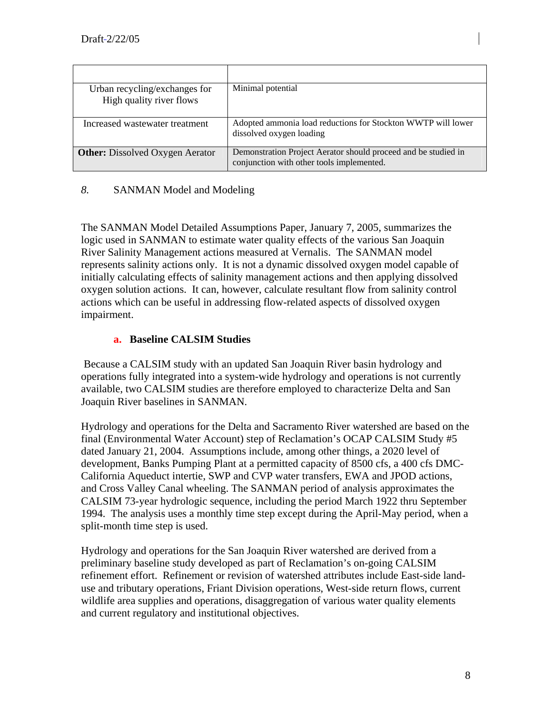| Urban recycling/exchanges for<br>High quality river flows | Minimal potential                                                                                           |
|-----------------------------------------------------------|-------------------------------------------------------------------------------------------------------------|
| Increased wastewater treatment                            | Adopted ammonia load reductions for Stockton WWTP will lower<br>dissolved oxygen loading                    |
| <b>Other:</b> Dissolved Oxygen Aerator                    | Demonstration Project Aerator should proceed and be studied in<br>conjunction with other tools implemented. |

## *8.* SANMAN Model and Modeling

The SANMAN Model Detailed Assumptions Paper, January 7, 2005, summarizes the logic used in SANMAN to estimate water quality effects of the various San Joaquin River Salinity Management actions measured at Vernalis. The SANMAN model represents salinity actions only. It is not a dynamic dissolved oxygen model capable of initially calculating effects of salinity management actions and then applying dissolved oxygen solution actions. It can, however, calculate resultant flow from salinity control actions which can be useful in addressing flow-related aspects of dissolved oxygen impairment.

#### **a. Baseline CALSIM Studies**

 Because a CALSIM study with an updated San Joaquin River basin hydrology and operations fully integrated into a system-wide hydrology and operations is not currently available, two CALSIM studies are therefore employed to characterize Delta and San Joaquin River baselines in SANMAN.

Hydrology and operations for the Delta and Sacramento River watershed are based on the final (Environmental Water Account) step of Reclamation's OCAP CALSIM Study #5 dated January 21, 2004. Assumptions include, among other things, a 2020 level of development, Banks Pumping Plant at a permitted capacity of 8500 cfs, a 400 cfs DMC-California Aqueduct intertie, SWP and CVP water transfers, EWA and JPOD actions, and Cross Valley Canal wheeling. The SANMAN period of analysis approximates the CALSIM 73-year hydrologic sequence, including the period March 1922 thru September 1994. The analysis uses a monthly time step except during the April-May period, when a split-month time step is used.

Hydrology and operations for the San Joaquin River watershed are derived from a preliminary baseline study developed as part of Reclamation's on-going CALSIM refinement effort. Refinement or revision of watershed attributes include East-side landuse and tributary operations, Friant Division operations, West-side return flows, current wildlife area supplies and operations, disaggregation of various water quality elements and current regulatory and institutional objectives.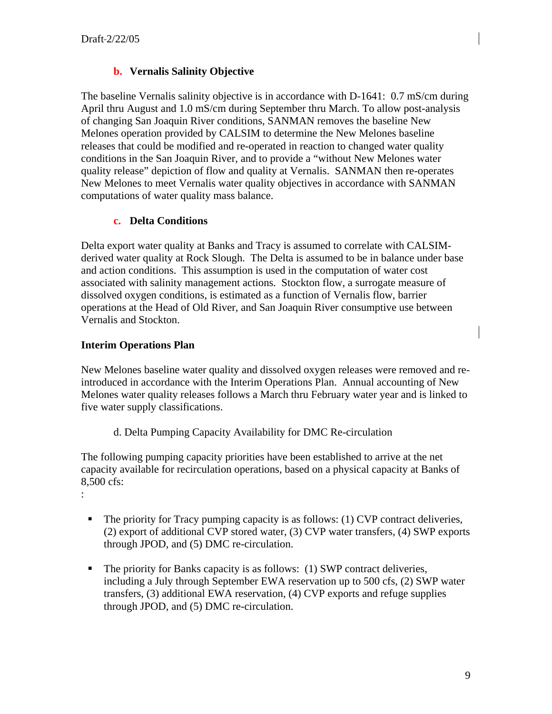# **b. Vernalis Salinity Objective**

The baseline Vernalis salinity objective is in accordance with D-1641: 0.7 mS/cm during April thru August and 1.0 mS/cm during September thru March. To allow post-analysis of changing San Joaquin River conditions, SANMAN removes the baseline New Melones operation provided by CALSIM to determine the New Melones baseline releases that could be modified and re-operated in reaction to changed water quality conditions in the San Joaquin River, and to provide a "without New Melones water quality release" depiction of flow and quality at Vernalis. SANMAN then re-operates New Melones to meet Vernalis water quality objectives in accordance with SANMAN computations of water quality mass balance.

## **c. Delta Conditions**

Delta export water quality at Banks and Tracy is assumed to correlate with CALSIMderived water quality at Rock Slough. The Delta is assumed to be in balance under base and action conditions. This assumption is used in the computation of water cost associated with salinity management actions. Stockton flow, a surrogate measure of dissolved oxygen conditions, is estimated as a function of Vernalis flow, barrier operations at the Head of Old River, and San Joaquin River consumptive use between Vernalis and Stockton.

# **Interim Operations Plan**

:

New Melones baseline water quality and dissolved oxygen releases were removed and reintroduced in accordance with the Interim Operations Plan. Annual accounting of New Melones water quality releases follows a March thru February water year and is linked to five water supply classifications.

d. Delta Pumping Capacity Availability for DMC Re-circulation

The following pumping capacity priorities have been established to arrive at the net capacity available for recirculation operations, based on a physical capacity at Banks of 8,500 cfs:

- The priority for Tracy pumping capacity is as follows: (1) CVP contract deliveries, (2) export of additional CVP stored water, (3) CVP water transfers, (4) SWP exports through JPOD, and (5) DMC re-circulation.
- The priority for Banks capacity is as follows: (1) SWP contract deliveries, including a July through September EWA reservation up to 500 cfs, (2) SWP water transfers, (3) additional EWA reservation, (4) CVP exports and refuge supplies through JPOD, and (5) DMC re-circulation.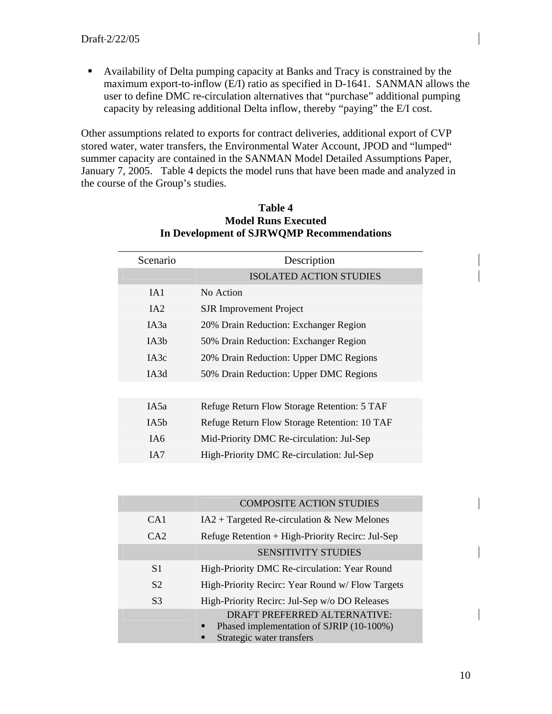Availability of Delta pumping capacity at Banks and Tracy is constrained by the maximum export-to-inflow (E/I) ratio as specified in D-1641. SANMAN allows the user to define DMC re-circulation alternatives that "purchase" additional pumping capacity by releasing additional Delta inflow, thereby "paying" the E/I cost.

Other assumptions related to exports for contract deliveries, additional export of CVP stored water, water transfers, the Environmental Water Account, JPOD and "lumped" summer capacity are contained in the SANMAN Model Detailed Assumptions Paper, January 7, 2005. Table 4 depicts the model runs that have been made and analyzed in the course of the Group's studies.

| Scenario          | Description                                  |  |  |
|-------------------|----------------------------------------------|--|--|
|                   | <b>ISOLATED ACTION STUDIES</b>               |  |  |
| IA1               | No Action                                    |  |  |
| IA2               | <b>SJR</b> Improvement Project               |  |  |
| IA3a              | 20% Drain Reduction: Exchanger Region        |  |  |
| IA3b              | 50% Drain Reduction: Exchanger Region        |  |  |
| IA3c              | 20% Drain Reduction: Upper DMC Regions       |  |  |
| IA3d              | 50% Drain Reduction: Upper DMC Regions       |  |  |
|                   |                                              |  |  |
| IA5a              | Refuge Return Flow Storage Retention: 5 TAF  |  |  |
| IA <sub>5</sub> b | Refuge Return Flow Storage Retention: 10 TAF |  |  |
| IA6               | Mid-Priority DMC Re-circulation: Jul-Sep     |  |  |
| IA7               | High-Priority DMC Re-circulation: Jul-Sep    |  |  |
|                   |                                              |  |  |

#### **Table 4 Model Runs Executed In Development of SJRWQMP Recommendations**

|                | <b>COMPOSITE ACTION STUDIES</b>                                                                                 |  |  |
|----------------|-----------------------------------------------------------------------------------------------------------------|--|--|
| CA1            | $IA2 + Targeted Re-circulation & New Melones$                                                                   |  |  |
| CA2            | Refuge Retention + High-Priority Recirc: Jul-Sep                                                                |  |  |
|                | <b>SENSITIVITY STUDIES</b>                                                                                      |  |  |
| S <sub>1</sub> | High-Priority DMC Re-circulation: Year Round                                                                    |  |  |
| S <sub>2</sub> | High-Priority Recirc: Year Round w/ Flow Targets                                                                |  |  |
| S <sub>3</sub> | High-Priority Recirc: Jul-Sep w/o DO Releases                                                                   |  |  |
|                | DRAFT PREFERRED ALTERNATIVE:<br>Phased implementation of SJRIP (10-100%)<br>п<br>Strategic water transfers<br>п |  |  |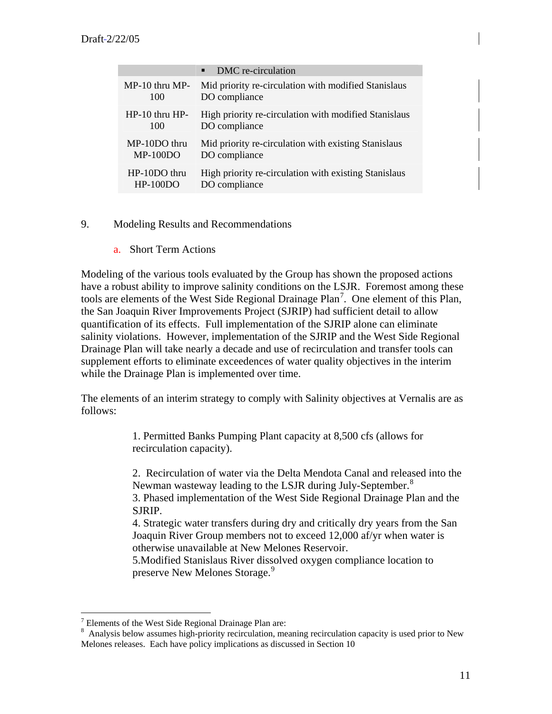|                    | DMC re-circulation<br>п                               |
|--------------------|-------------------------------------------------------|
| $MP-10$ thru $MP-$ | Mid priority re-circulation with modified Stanislaus  |
| 100                | DO compliance                                         |
| $HP-10$ thru $HP-$ | High priority re-circulation with modified Stanislaus |
| 100                | DO compliance                                         |
| $MP-10DO$ thru     | Mid priority re-circulation with existing Stanislaus  |
| $MP-100DO$         | DO compliance                                         |
| $HP-10DO$ thru     | High priority re-circulation with existing Stanislaus |
| $HP-100DO$         | DO compliance                                         |

- 9. Modeling Results and Recommendations
	- a. Short Term Actions

Modeling of the various tools evaluated by the Group has shown the proposed actions have a robust ability to improve salinity conditions on the LSJR. Foremost among these tools are elements of the West Side Regional Drainage Plan<sup>[7](#page-10-0)</sup>. One element of this Plan, the San Joaquin River Improvements Project (SJRIP) had sufficient detail to allow quantification of its effects. Full implementation of the SJRIP alone can eliminate salinity violations. However, implementation of the SJRIP and the West Side Regional Drainage Plan will take nearly a decade and use of recirculation and transfer tools can supplement efforts to eliminate exceedences of water quality objectives in the interim while the Drainage Plan is implemented over time.

The elements of an interim strategy to comply with Salinity objectives at Vernalis are as follows:

> 1. Permitted Banks Pumping Plant capacity at 8,500 cfs (allows for recirculation capacity).

2. Recirculation of water via the Delta Mendota Canal and released into the Newman wasteway leading to the LSJR during July-September.<sup>[8](#page-10-1)</sup>

3. Phased implementation of the West Side Regional Drainage Plan and the SJRIP.

4. Strategic water transfers during dry and critically dry years from the San Joaquin River Group members not to exceed 12,000 af/yr when water is otherwise unavailable at New Melones Reservoir.

5.Modified Stanislaus River dissolved oxygen compliance location to preserve New Melones Storage.<sup>[9](#page-10-2)</sup>

 $\overline{a}$ 

<span id="page-10-2"></span><span id="page-10-0"></span>Elements of the West Side Regional Drainage Plan are:<br> $\frac{8}{3}$  Apelysis below assumes bigh priority regionalities, mo

<span id="page-10-1"></span>Analysis below assumes high-priority recirculation, meaning recirculation capacity is used prior to New Melones releases. Each have policy implications as discussed in Section 10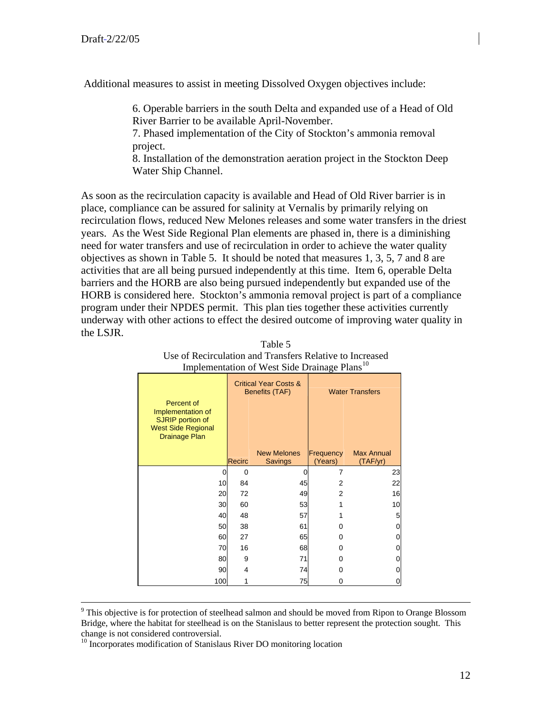Additional measures to assist in meeting Dissolved Oxygen objectives include:

6. Operable barriers in the south Delta and expanded use of a Head of Old River Barrier to be available April-November.

7. Phased implementation of the City of Stockton's ammonia removal project.

8. Installation of the demonstration aeration project in the Stockton Deep Water Ship Channel.

As soon as the recirculation capacity is available and Head of Old River barrier is in place, compliance can be assured for salinity at Vernalis by primarily relying on recirculation flows, reduced New Melones releases and some water transfers in the driest years. As the West Side Regional Plan elements are phased in, there is a diminishing need for water transfers and use of recirculation in order to achieve the water quality objectives as shown in Table 5. It should be noted that measures 1, 3, 5, 7 and 8 are activities that are all being pursued independently at this time. Item 6, operable Delta barriers and the HORB are also being pursued independently but expanded use of the HORB is considered here. Stockton's ammonia removal project is part of a compliance program under their NPDES permit. This plan ties together these activities currently underway with other actions to effect the desired outcome of improving water quality in the LSJR.

| Percent of<br>Implementation of<br>SJRIP portion of<br><b>West Side Regional</b> |          | <b>Critical Year Costs &amp;</b><br>Benefits (TAF) |                      | <b>Water Transfers</b>        |
|----------------------------------------------------------------------------------|----------|----------------------------------------------------|----------------------|-------------------------------|
| <b>Drainage Plan</b>                                                             | Recirc   | <b>New Melones</b><br>Savings                      | Frequency<br>(Years) | <b>Max Annual</b><br>(TAF/yr) |
| 0                                                                                | $\Omega$ |                                                    | 7                    | 23                            |
| 10                                                                               | 84       | 45                                                 | 2                    | 22                            |
| 20                                                                               | 72       | 49                                                 | $\overline{2}$       | 16                            |
| 30                                                                               | 60       | 53                                                 |                      | 10                            |
| 40                                                                               | 48       | 57                                                 |                      | 5                             |
| 50                                                                               | 38       | 61                                                 | ŋ                    | 0                             |
| 60                                                                               | 27       | 65                                                 | 0                    | 0                             |
| 70                                                                               | 16       | 68                                                 | ŋ                    | 0                             |
| 80                                                                               | 9        | 71                                                 | 0                    | 0                             |
| 90                                                                               | 4        | 74                                                 | ი                    | 0                             |
| 100                                                                              |          | 75                                                 | ი                    |                               |

Table 5 Use of Recirculation and Transfers Relative to Increased Implementation of West Side Drainage Plans<sup>[10](#page-11-0)</sup>

<sup>-&</sup>lt;br>9 <sup>9</sup> This objective is for protection of steelhead salmon and should be moved from Ripon to Orange Blossom Bridge, where the habitat for steelhead is on the Stanislaus to better represent the protection sought. This change is not considered controversial.

<span id="page-11-0"></span><sup>&</sup>lt;sup>10</sup> Incorporates modification of Stanislaus River DO monitoring location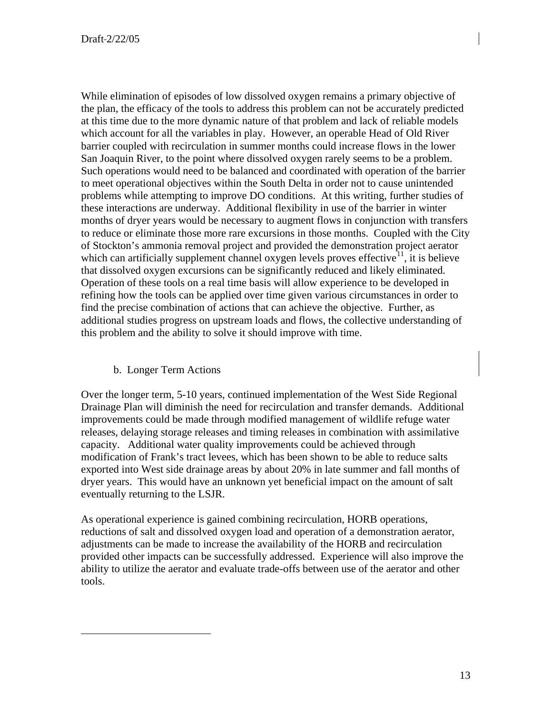While elimination of episodes of low dissolved oxygen remains a primary objective of the plan, the efficacy of the tools to address this problem can not be accurately predicted at this time due to the more dynamic nature of that problem and lack of reliable models which account for all the variables in play. However, an operable Head of Old River barrier coupled with recirculation in summer months could increase flows in the lower San Joaquin River, to the point where dissolved oxygen rarely seems to be a problem. Such operations would need to be balanced and coordinated with operation of the barrier to meet operational objectives within the South Delta in order not to cause unintended problems while attempting to improve DO conditions. At this writing, further studies of these interactions are underway. Additional flexibility in use of the barrier in winter months of dryer years would be necessary to augment flows in conjunction with transfers to reduce or eliminate those more rare excursions in those months. Coupled with the City of Stockton's ammonia removal project and provided the demonstration project aerator which can artificially supplement channel oxygen levels proves effective<sup>[1](#page-15-0)1</sup>, it is believe that dissolved oxygen excursions can be significantly reduced and likely eliminated. Operation of these tools on a real time basis will allow experience to be developed in refining how the tools can be applied over time given various circumstances in order to find the precise combination of actions that can achieve the objective. Further, as additional studies progress on upstream loads and flows, the collective understanding of this problem and the ability to solve it should improve with time.

#### b. Longer Term Actions

<u>.</u>

Over the longer term, 5-10 years, continued implementation of the West Side Regional Drainage Plan will diminish the need for recirculation and transfer demands. Additional improvements could be made through modified management of wildlife refuge water releases, delaying storage releases and timing releases in combination with assimilative capacity. Additional water quality improvements could be achieved through modification of Frank's tract levees, which has been shown to be able to reduce salts exported into West side drainage areas by about 20% in late summer and fall months of dryer years. This would have an unknown yet beneficial impact on the amount of salt eventually returning to the LSJR.

As operational experience is gained combining recirculation, HORB operations, reductions of salt and dissolved oxygen load and operation of a demonstration aerator, adjustments can be made to increase the availability of the HORB and recirculation provided other impacts can be successfully addressed. Experience will also improve the ability to utilize the aerator and evaluate trade-offs between use of the aerator and other tools.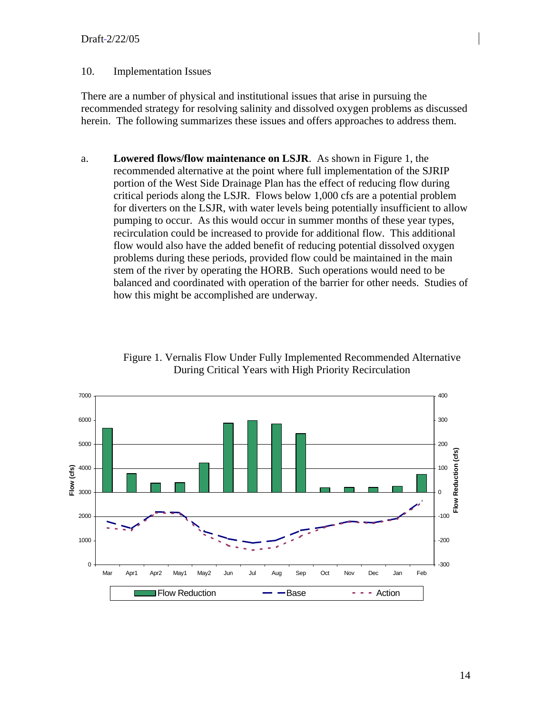#### Draft 2/22/05

#### 10. Implementation Issues

There are a number of physical and institutional issues that arise in pursuing the recommended strategy for resolving salinity and dissolved oxygen problems as discussed herein. The following summarizes these issues and offers approaches to address them.

a. **Lowered flows/flow maintenance on LSJR**. As shown in Figure 1, the recommended alternative at the point where full implementation of the SJRIP portion of the West Side Drainage Plan has the effect of reducing flow during critical periods along the LSJR. Flows below 1,000 cfs are a potential problem for diverters on the LSJR, with water levels being potentially insufficient to allow pumping to occur. As this would occur in summer months of these year types, recirculation could be increased to provide for additional flow. This additional flow would also have the added benefit of reducing potential dissolved oxygen problems during these periods, provided flow could be maintained in the main stem of the river by operating the HORB. Such operations would need to be balanced and coordinated with operation of the barrier for other needs. Studies of how this might be accomplished are underway.

> Figure 1. Vernalis Flow Under Fully Implemented Recommended Alternative During Critical Years with High Priority Recirculation

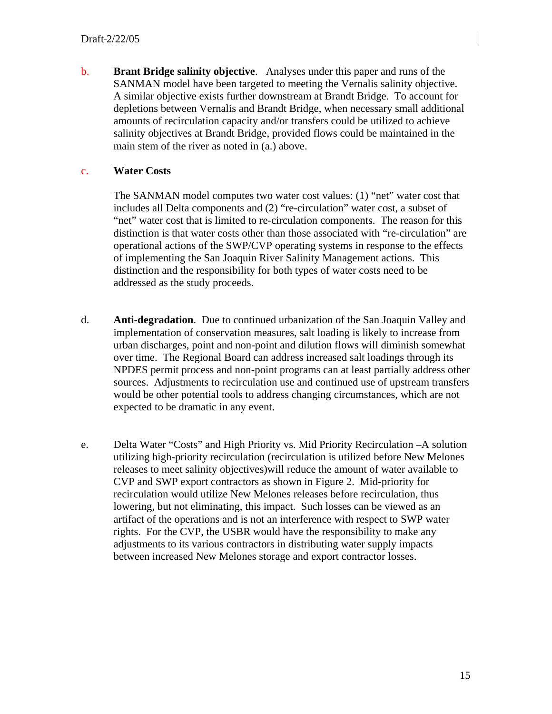b. **Brant Bridge salinity objective**. Analyses under this paper and runs of the SANMAN model have been targeted to meeting the Vernalis salinity objective. A similar objective exists further downstream at Brandt Bridge. To account for depletions between Vernalis and Brandt Bridge, when necessary small additional amounts of recirculation capacity and/or transfers could be utilized to achieve salinity objectives at Brandt Bridge, provided flows could be maintained in the main stem of the river as noted in (a.) above.

#### c. **Water Costs**

The SANMAN model computes two water cost values: (1) "net" water cost that includes all Delta components and (2) "re-circulation" water cost, a subset of "net" water cost that is limited to re-circulation components. The reason for this distinction is that water costs other than those associated with "re-circulation" are operational actions of the SWP/CVP operating systems in response to the effects of implementing the San Joaquin River Salinity Management actions. This distinction and the responsibility for both types of water costs need to be addressed as the study proceeds.

- d. **Anti-degradation**. Due to continued urbanization of the San Joaquin Valley and implementation of conservation measures, salt loading is likely to increase from urban discharges, point and non-point and dilution flows will diminish somewhat over time. The Regional Board can address increased salt loadings through its NPDES permit process and non-point programs can at least partially address other sources. Adjustments to recirculation use and continued use of upstream transfers would be other potential tools to address changing circumstances, which are not expected to be dramatic in any event.
- e. Delta Water "Costs" and High Priority vs. Mid Priority Recirculation –A solution utilizing high-priority recirculation (recirculation is utilized before New Melones releases to meet salinity objectives)will reduce the amount of water available to CVP and SWP export contractors as shown in Figure 2. Mid-priority for recirculation would utilize New Melones releases before recirculation, thus lowering, but not eliminating, this impact. Such losses can be viewed as an artifact of the operations and is not an interference with respect to SWP water rights. For the CVP, the USBR would have the responsibility to make any adjustments to its various contractors in distributing water supply impacts between increased New Melones storage and export contractor losses.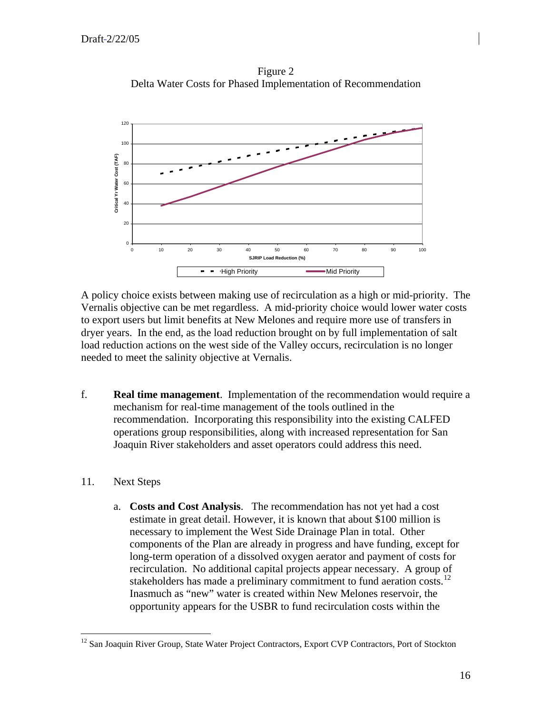Figure 2 Delta Water Costs for Phased Implementation of Recommendation



A policy choice exists between making use of recirculation as a high or mid-priority. The Vernalis objective can be met regardless. A mid-priority choice would lower water costs to export users but limit benefits at New Melones and require more use of transfers in dryer years. In the end, as the load reduction brought on by full implementation of salt load reduction actions on the west side of the Valley occurs, recirculation is no longer needed to meet the salinity objective at Vernalis.

f. **Real time management**. Implementation of the recommendation would require a mechanism for real-time management of the tools outlined in the recommendation. Incorporating this responsibility into the existing CALFED operations group responsibilities, along with increased representation for San Joaquin River stakeholders and asset operators could address this need.

#### 11. Next Steps

 $\overline{a}$ 

a. **Costs and Cost Analysis**. The recommendation has not yet had a cost estimate in great detail. However, it is known that about \$100 million is necessary to implement the West Side Drainage Plan in total. Other components of the Plan are already in progress and have funding, except for long-term operation of a dissolved oxygen aerator and payment of costs for recirculation. No additional capital projects appear necessary. A group of stakeholders has made a preliminary commitment to fund aeration costs.<sup>[1](#page-15-0)2</sup> Inasmuch as "new" water is created within New Melones reservoir, the opportunity appears for the USBR to fund recirculation costs within the

<span id="page-15-0"></span><sup>&</sup>lt;sup>12</sup> San Joaquin River Group, State Water Project Contractors, Export CVP Contractors, Port of Stockton